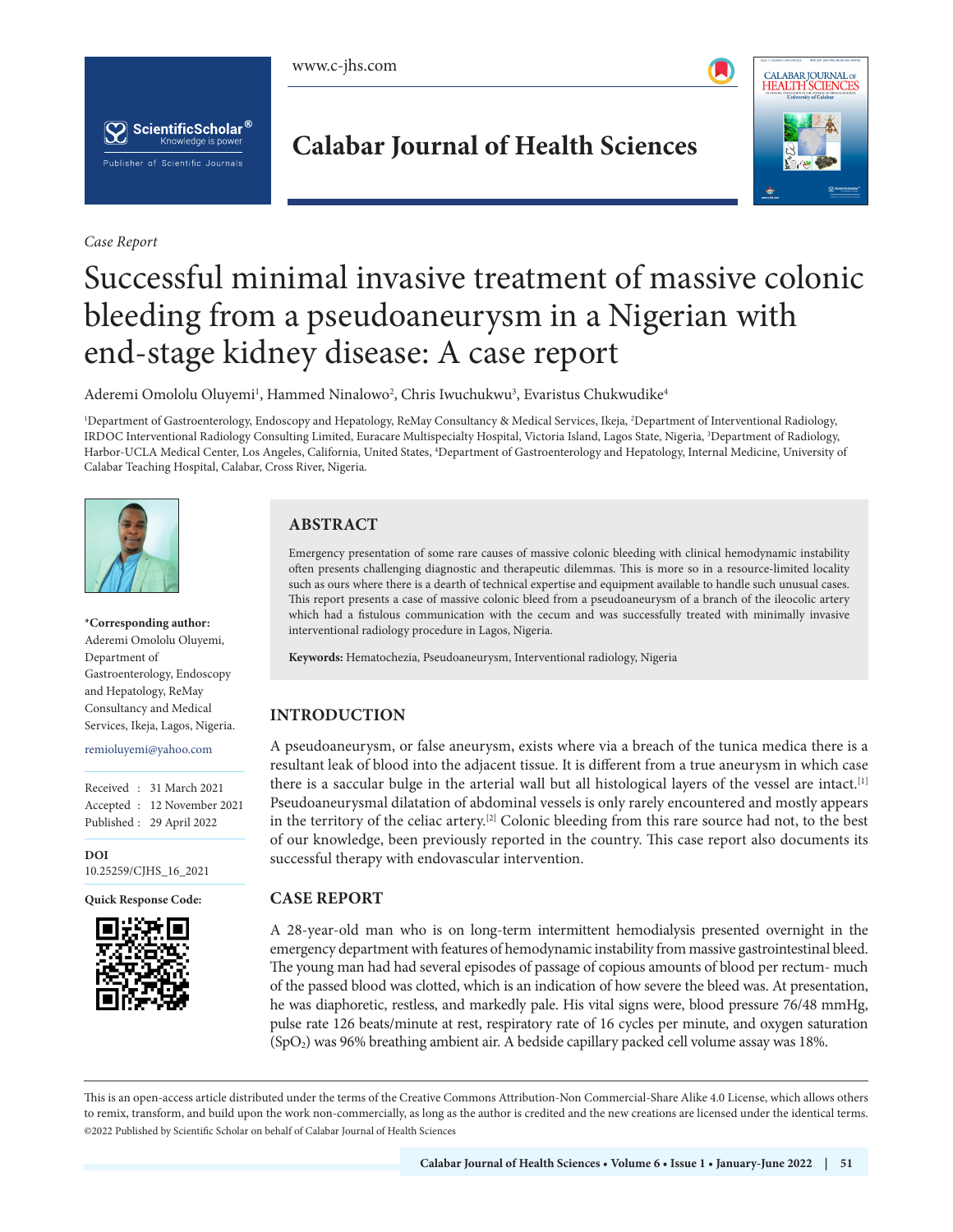





*Case Report*

# **Calabar Journal of Health Sciences**



# Successful minimal invasive treatment of massive colonic bleeding from a pseudoaneurysm in a Nigerian with end-stage kidney disease: A case report

Aderemi Omololu Oluyemi<sup>ı</sup>, Hammed Ninalowo<sup>2</sup>, Chris Iwuchukwu<sup>3</sup>, Evaristus Chukwudike<sup>4</sup>

1 Department of Gastroenterology, Endoscopy and Hepatology, ReMay Consultancy & Medical Services, Ikeja, <sup>2</sup> Department of Interventional Radiology, IRDOC Interventional Radiology Consulting Limited, Euracare Multispecialty Hospital, Victoria Island, Lagos State, Nigeria, 3 Department of Radiology, Harbor-UCLA Medical Center, Los Angeles, California, United States, 4 Department of Gastroenterology and Hepatology, Internal Medicine, University of Calabar Teaching Hospital, Calabar, Cross River, Nigeria.



#### **\*Corresponding author:**

Aderemi Omololu Oluyemi, Department of Gastroenterology, Endoscopy and Hepatology, ReMay Consultancy and Medical Services, Ikeja, Lagos, Nigeria.

#### remioluyemi@yahoo.com

Received : 31 March 2021 Accepted : 12 November 2021 Published : 29 April 2022

**DOI** [10.25259/CJHS\\_16\\_2021](https://dx.doi.org/10.25259/CJHS_16_2021)

**Quick Response Code:**



# **ABSTRACT**

Emergency presentation of some rare causes of massive colonic bleeding with clinical hemodynamic instability often presents challenging diagnostic and therapeutic dilemmas. This is more so in a resource-limited locality such as ours where there is a dearth of technical expertise and equipment available to handle such unusual cases. This report presents a case of massive colonic bleed from a pseudoaneurysm of a branch of the ileocolic artery which had a fistulous communication with the cecum and was successfully treated with minimally invasive interventional radiology procedure in Lagos, Nigeria.

**Keywords:** Hematochezia, Pseudoaneurysm, Interventional radiology, Nigeria

# **INTRODUCTION**

A pseudoaneurysm, or false aneurysm, exists where via a breach of the tunica medica there is a resultant leak of blood into the adjacent tissue. It is different from a true aneurysm in which case there is a saccular bulge in the arterial wall but all histological layers of the vessel are intact.<sup>[1]</sup> Pseudoaneurysmal dilatation of abdominal vessels is only rarely encountered and mostly appears in the territory of the celiac artery.[2] Colonic bleeding from this rare source had not, to the best of our knowledge, been previously reported in the country. This case report also documents its successful therapy with endovascular intervention.

# **CASE REPORT**

A 28-year-old man who is on long-term intermittent hemodialysis presented overnight in the emergency department with features of hemodynamic instability from massive gastrointestinal bleed. The young man had had several episodes of passage of copious amounts of blood per rectum- much of the passed blood was clotted, which is an indication of how severe the bleed was. At presentation, he was diaphoretic, restless, and markedly pale. His vital signs were, blood pressure 76/48 mmHg, pulse rate 126 beats/minute at rest, respiratory rate of 16 cycles per minute, and oxygen saturation (SpO2) was 96% breathing ambient air. A bedside capillary packed cell volume assay was 18%.

This is an open-access article distributed under the terms of the Creative Commons Attribution-Non Commercial-Share Alike 4.0 License, which allows others to remix, transform, and build upon the work non-commercially, as long as the author is credited and the new creations are licensed under the identical terms. ©2022 Published by Scientific Scholar on behalf of Calabar Journal of Health Sciences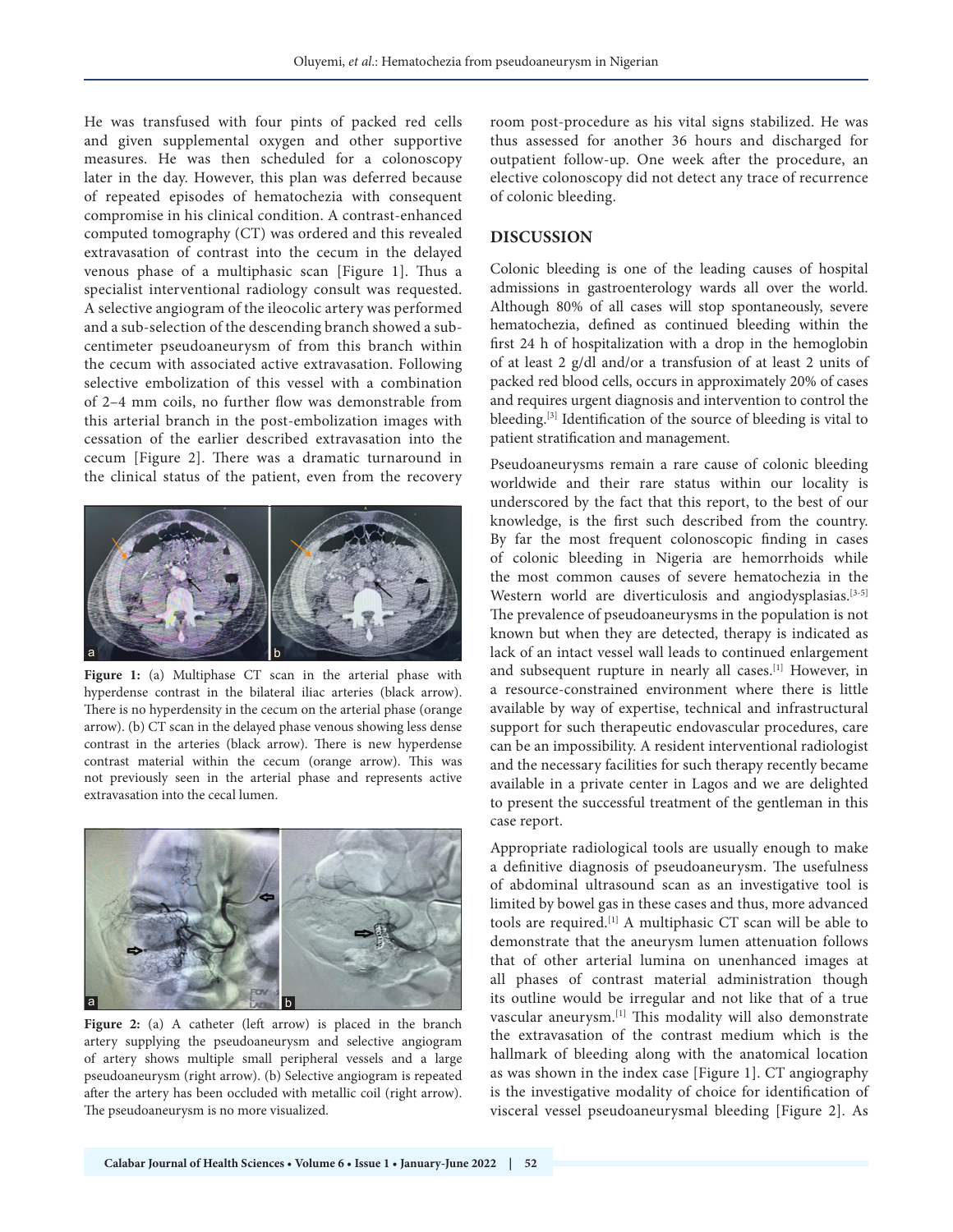He was transfused with four pints of packed red cells and given supplemental oxygen and other supportive measures. He was then scheduled for a colonoscopy later in the day. However, this plan was deferred because of repeated episodes of hematochezia with consequent compromise in his clinical condition. A contrast-enhanced computed tomography (CT) was ordered and this revealed extravasation of contrast into the cecum in the delayed venous phase of a multiphasic scan [Figure 1]. Thus a specialist interventional radiology consult was requested. A selective angiogram of the ileocolic artery was performed and a sub-selection of the descending branch showed a subcentimeter pseudoaneurysm of from this branch within the cecum with associated active extravasation. Following selective embolization of this vessel with a combination of 2–4 mm coils, no further flow was demonstrable from this arterial branch in the post-embolization images with cessation of the earlier described extravasation into the cecum [Figure 2]. There was a dramatic turnaround in the clinical status of the patient, even from the recovery



**Figure 1:** (a) Multiphase CT scan in the arterial phase with hyperdense contrast in the bilateral iliac arteries (black arrow). There is no hyperdensity in the cecum on the arterial phase (orange arrow). (b) CT scan in the delayed phase venous showing less dense contrast in the arteries (black arrow). There is new hyperdense contrast material within the cecum (orange arrow). This was not previously seen in the arterial phase and represents active extravasation into the cecal lumen.



Figure 2: (a) A catheter (left arrow) is placed in the branch artery supplying the pseudoaneurysm and selective angiogram of artery shows multiple small peripheral vessels and a large pseudoaneurysm (right arrow). (b) Selective angiogram is repeated after the artery has been occluded with metallic coil (right arrow). The pseudoaneurysm is no more visualized.

room post-procedure as his vital signs stabilized. He was thus assessed for another 36 hours and discharged for outpatient follow-up. One week after the procedure, an elective colonoscopy did not detect any trace of recurrence of colonic bleeding.

#### **DISCUSSION**

Colonic bleeding is one of the leading causes of hospital admissions in gastroenterology wards all over the world. Although 80% of all cases will stop spontaneously, severe hematochezia, defined as continued bleeding within the first 24 h of hospitalization with a drop in the hemoglobin of at least 2 g/dl and/or a transfusion of at least 2 units of packed red blood cells, occurs in approximately 20% of cases and requires urgent diagnosis and intervention to control the bleeding.<sup>[3]</sup> Identification of the source of bleeding is vital to patient stratification and management.

Pseudoaneurysms remain a rare cause of colonic bleeding worldwide and their rare status within our locality is underscored by the fact that this report, to the best of our knowledge, is the first such described from the country. By far the most frequent colonoscopic finding in cases of colonic bleeding in Nigeria are hemorrhoids while the most common causes of severe hematochezia in the Western world are diverticulosis and angiodysplasias.<sup>[3-5]</sup> The prevalence of pseudoaneurysms in the population is not known but when they are detected, therapy is indicated as lack of an intact vessel wall leads to continued enlargement and subsequent rupture in nearly all cases.[1] However, in a resource-constrained environment where there is little available by way of expertise, technical and infrastructural support for such therapeutic endovascular procedures, care can be an impossibility. A resident interventional radiologist and the necessary facilities for such therapy recently became available in a private center in Lagos and we are delighted to present the successful treatment of the gentleman in this case report.

Appropriate radiological tools are usually enough to make a definitive diagnosis of pseudoaneurysm. The usefulness of abdominal ultrasound scan as an investigative tool is limited by bowel gas in these cases and thus, more advanced tools are required.[1] A multiphasic CT scan will be able to demonstrate that the aneurysm lumen attenuation follows that of other arterial lumina on unenhanced images at all phases of contrast material administration though its outline would be irregular and not like that of a true vascular aneurysm.[1] This modality will also demonstrate the extravasation of the contrast medium which is the hallmark of bleeding along with the anatomical location as was shown in the index case [Figure 1]. CT angiography is the investigative modality of choice for identification of visceral vessel pseudoaneurysmal bleeding [Figure 2]. As